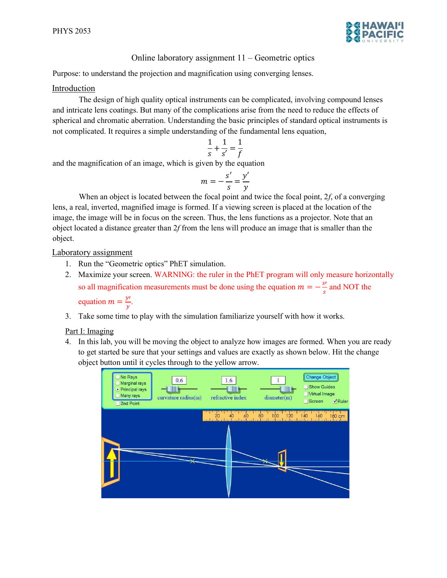

## Online laboratory assignment 11 – Geometric optics

Purpose: to understand the projection and magnification using converging lenses.

## Introduction

The design of high quality optical instruments can be complicated, involving compound lenses and intricate lens coatings. But many of the complications arise from the need to reduce the effects of spherical and chromatic aberration. Understanding the basic principles of standard optical instruments is not complicated. It requires a simple understanding of the fundamental lens equation,

$$
\frac{1}{s} + \frac{1}{s'} = \frac{1}{f}
$$

and the magnification of an image, which is given by the equation

$$
m=-\frac{s'}{s}=\frac{y'}{y}
$$

When an object is located between the focal point and twice the focal point,  $2f$ , of a converging lens, a real, inverted, magnified image is formed. If a viewing screen is placed at the location of the image, the image will be in focus on the screen. Thus, the lens functions as a projector. Note that an object located a distance greater than 2f from the lens will produce an image that is smaller than the object.

Laboratory assignment

- 1. Run the "Geometric optics" PhET simulation.
- 2. Maximize your screen. WARNING: the ruler in the PhET program will only measure horizontally so all magnification measurements must be done using the equation  $m = -\frac{s'}{s}$  $\frac{s'}{s}$  and NOT the equation  $m = \frac{y}{x}$
- $\frac{y}{y}$ .
- 3. Take some time to play with the simulation familiarize yourself with how it works.

## Part I: Imaging

4. In this lab, you will be moving the object to analyze how images are formed. When you are ready to get started be sure that your settings and values are exactly as shown below. Hit the change object button until it cycles through to the yellow arrow.

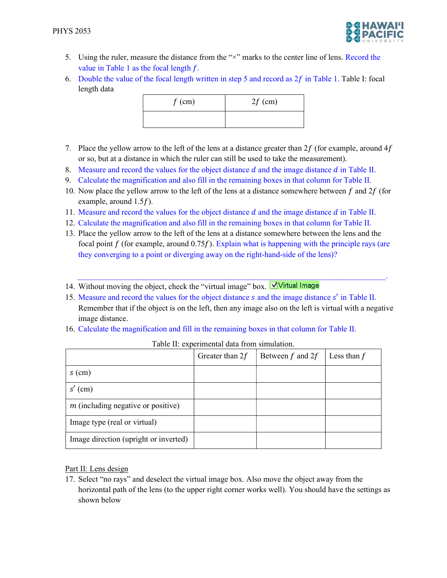

- 5. Using the ruler, measure the distance from the "×" marks to the center line of lens. Record the value in Table 1 as the focal length  $f$ .
- 6. Double the value of the focal length written in step 5 and record as  $2f$  in Table 1. Table I: focal length data

| $f$ (cm) | $2f$ (cm) |
|----------|-----------|
|          |           |

- 7. Place the yellow arrow to the left of the lens at a distance greater than  $2f$  (for example, around  $4f$ or so, but at a distance in which the ruler can still be used to take the measurement).
- 8. Measure and record the values for the object distance  $d$  and the image distance  $d$  in Table II.
- 9. Calculate the magnification and also fill in the remaining boxes in that column for Table II.
- 10. Now place the yellow arrow to the left of the lens at a distance somewhere between  $f$  and  $2f$  (for example, around  $1.5f$ ).
- 11. Measure and record the values for the object distance  $d$  and the image distance  $d$  in Table II.
- 12. Calculate the magnification and also fill in the remaining boxes in that column for Table II.
- 13. Place the yellow arrow to the left of the lens at a distance somewhere between the lens and the focal point  $f$  (for example, around 0.75 $f$ ). Explain what is happening with the principle rays (are they converging to a point or diverging away on the right-hand-side of the lens)?
- 14. Without moving the object, check the "virtual image" box. Virtual Image
- 15. Measure and record the values for the object distance  $s$  and the image distance  $s'$  in Table II. Remember that if the object is on the left, then any image also on the left is virtual with a negative image distance.

 $\mathcal{L}_\mathcal{L} = \mathcal{L}_\mathcal{L} = \mathcal{L}_\mathcal{L} = \mathcal{L}_\mathcal{L} = \mathcal{L}_\mathcal{L} = \mathcal{L}_\mathcal{L} = \mathcal{L}_\mathcal{L} = \mathcal{L}_\mathcal{L} = \mathcal{L}_\mathcal{L} = \mathcal{L}_\mathcal{L} = \mathcal{L}_\mathcal{L} = \mathcal{L}_\mathcal{L} = \mathcal{L}_\mathcal{L} = \mathcal{L}_\mathcal{L} = \mathcal{L}_\mathcal{L} = \mathcal{L}_\mathcal{L} = \mathcal{L}_\mathcal{L}$ 

16. Calculate the magnification and fill in the remaining boxes in that column for Table II.

|                                       | Greater than $2f$ | Between $f$ and $2f$ | Less than $f$ |
|---------------------------------------|-------------------|----------------------|---------------|
| $s$ (cm)                              |                   |                      |               |
| $s'$ (cm)                             |                   |                      |               |
| $m$ (including negative or positive)  |                   |                      |               |
| Image type (real or virtual)          |                   |                      |               |
| Image direction (upright or inverted) |                   |                      |               |

| Table II: experimental data from simulation. |
|----------------------------------------------|
|----------------------------------------------|

## Part II: Lens design

17. Select "no rays" and deselect the virtual image box. Also move the object away from the horizontal path of the lens (to the upper right corner works well). You should have the settings as shown below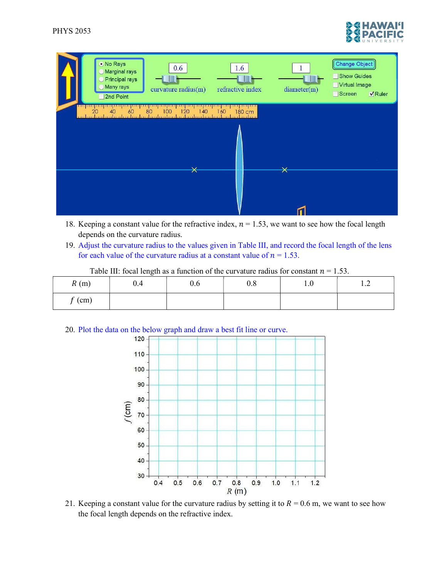



- 18. Keeping a constant value for the refractive index,  $n = 1.53$ , we want to see how the focal length depends on the curvature radius.
- 19. Adjust the curvature radius to the values given in Table III, and record the focal length of the lens for each value of the curvature radius at a constant value of  $n = 1.53$ .

| R(m)            | v.4 | U.O | 0.8 | $\mathbf{1} \cdot \mathbf{0}$ | $\overline{\phantom{a}}$<br>$\overline{1}$ |
|-----------------|-----|-----|-----|-------------------------------|--------------------------------------------|
| $\epsilon$ (cm) |     |     |     |                               |                                            |

Table III: focal length as a function of the curvature radius for constant  $n = 1.53$ .



21. Keeping a constant value for the curvature radius by setting it to  $R = 0.6$  m, we want to see how the focal length depends on the refractive index.